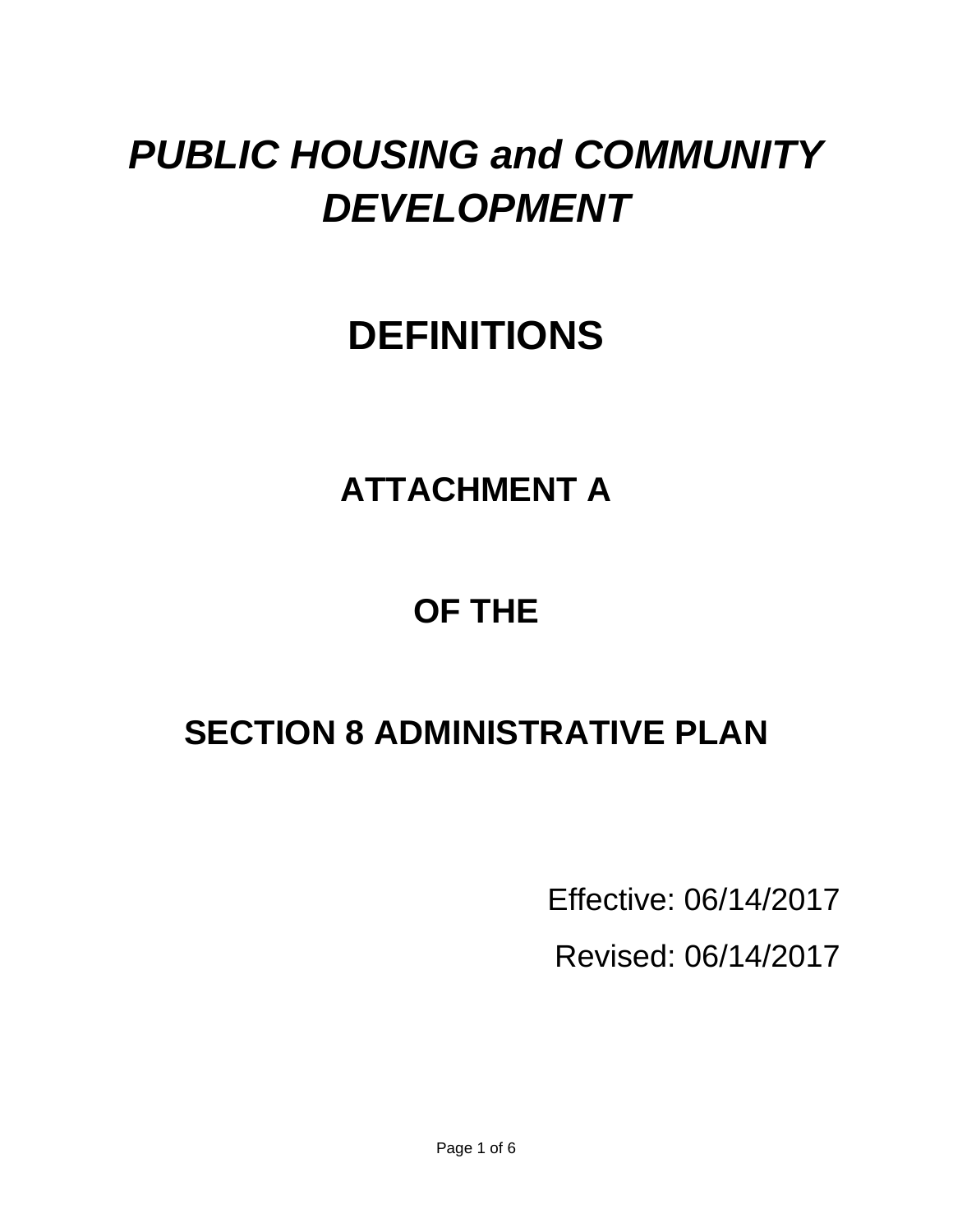# *PUBLIC HOUSING and COMMUNITY DEVELOPMENT*

# **DEFINITIONS**

# **ATTACHMENT A**

# **OF THE**

# **SECTION 8 ADMINISTRATIVE PLAN**

Effective: 06/14/2017

Revised: 06/14/2017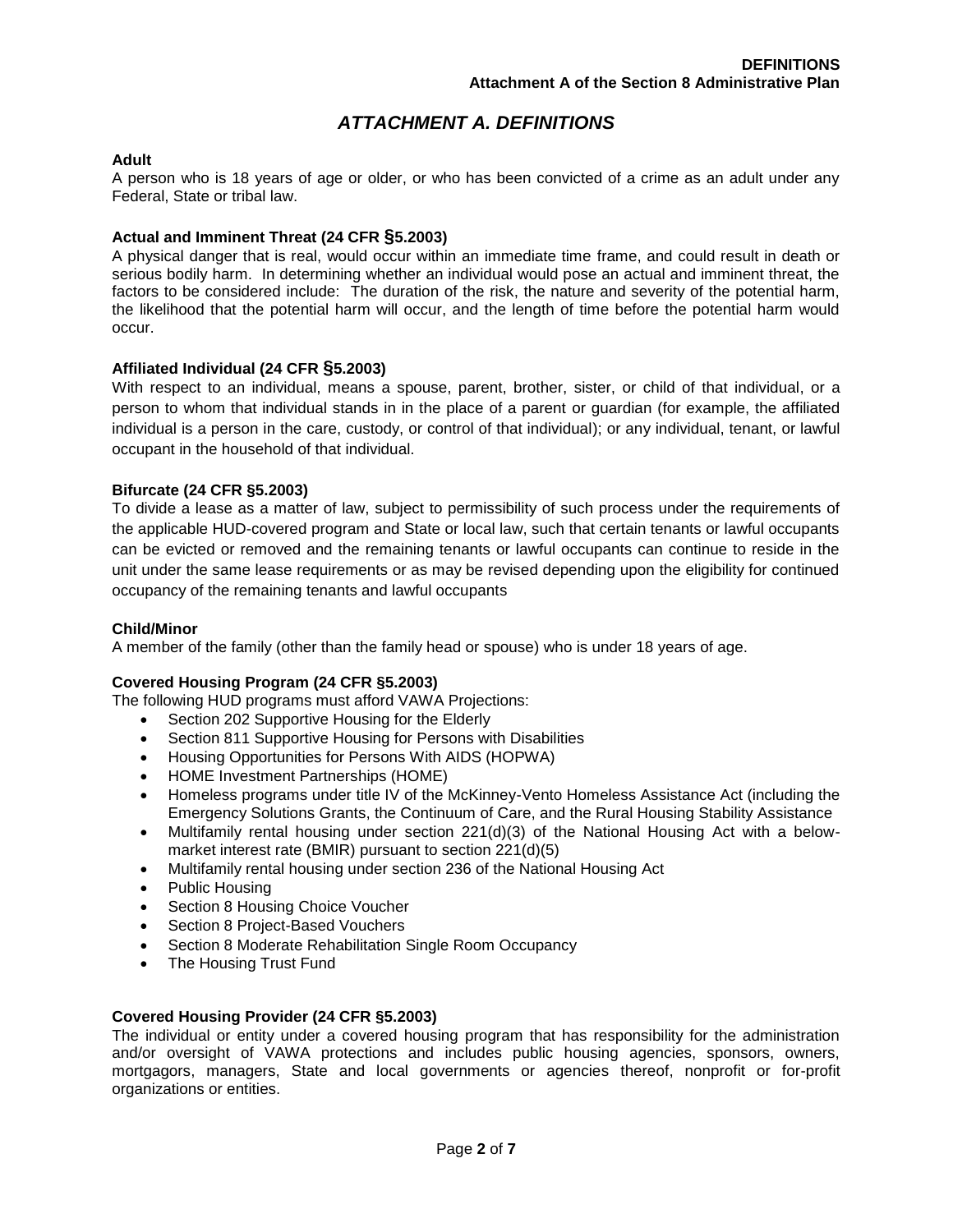# *ATTACHMENT A. DEFINITIONS*

# **Adult**

A person who is 18 years of age or older, or who has been convicted of a crime as an adult under any Federal, State or tribal law.

# **Actual and Imminent Threat (24 CFR §5.2003)**

A physical danger that is real, would occur within an immediate time frame, and could result in death or serious bodily harm. In determining whether an individual would pose an actual and imminent threat, the factors to be considered include: The duration of the risk, the nature and severity of the potential harm, the likelihood that the potential harm will occur, and the length of time before the potential harm would occur.

# **Affiliated Individual (24 CFR §5.2003)**

With respect to an individual, means a spouse, parent, brother, sister, or child of that individual, or a person to whom that individual stands in in the place of a parent or guardian (for example, the affiliated individual is a person in the care, custody, or control of that individual); or any individual, tenant, or lawful occupant in the household of that individual.

# **Bifurcate (24 CFR §5.2003)**

To divide a lease as a matter of law, subject to permissibility of such process under the requirements of the applicable HUD-covered program and State or local law, such that certain tenants or lawful occupants can be evicted or removed and the remaining tenants or lawful occupants can continue to reside in the unit under the same lease requirements or as may be revised depending upon the eligibility for continued occupancy of the remaining tenants and lawful occupants

# **Child/Minor**

A member of the family (other than the family head or spouse) who is under 18 years of age.

#### **Covered Housing Program (24 CFR §5.2003)**

The following HUD programs must afford VAWA Projections:

- Section 202 Supportive Housing for the Elderly
- Section 811 Supportive Housing for Persons with Disabilities
- Housing Opportunities for Persons With AIDS (HOPWA)
- HOME Investment Partnerships (HOME)
- Homeless programs under title IV of the McKinney-Vento Homeless Assistance Act (including the Emergency Solutions Grants, the Continuum of Care, and the Rural Housing Stability Assistance
- Multifamily rental housing under section 221(d)(3) of the National Housing Act with a belowmarket interest rate (BMIR) pursuant to section 221(d)(5)
- Multifamily rental housing under section 236 of the National Housing Act
- Public Housing
- Section 8 Housing Choice Voucher
- Section 8 Project-Based Vouchers
- Section 8 Moderate Rehabilitation Single Room Occupancy
- The Housing Trust Fund

#### **Covered Housing Provider (24 CFR §5.2003)**

The individual or entity under a covered housing program that has responsibility for the administration and/or oversight of VAWA protections and includes public housing agencies, sponsors, owners, mortgagors, managers, State and local governments or agencies thereof, nonprofit or for-profit organizations or entities.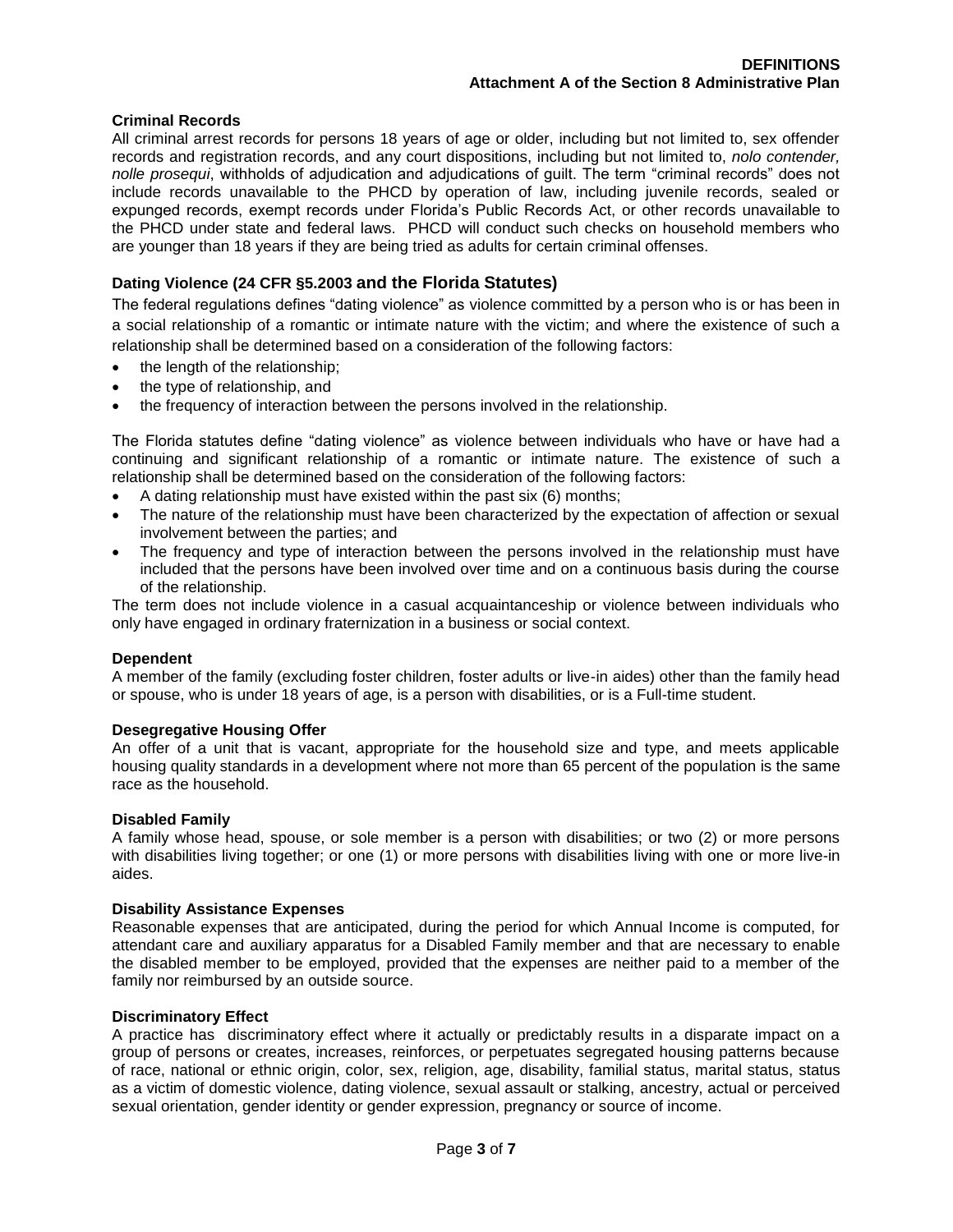# **Criminal Records**

All criminal arrest records for persons 18 years of age or older, including but not limited to, sex offender records and registration records, and any court dispositions, including but not limited to, *nolo contender, nolle prosequi*, withholds of adjudication and adjudications of guilt. The term "criminal records" does not include records unavailable to the PHCD by operation of law, including juvenile records, sealed or expunged records, exempt records under Florida's Public Records Act, or other records unavailable to the PHCD under state and federal laws. PHCD will conduct such checks on household members who are younger than 18 years if they are being tried as adults for certain criminal offenses.

# **Dating Violence (24 CFR §5.2003 and the Florida Statutes)**

The federal regulations defines "dating violence" as violence committed by a person who is or has been in a social relationship of a romantic or intimate nature with the victim; and where the existence of such a relationship shall be determined based on a consideration of the following factors:

- the length of the relationship;
- the type of relationship, and
- the frequency of interaction between the persons involved in the relationship.

The Florida statutes define "dating violence" as violence between individuals who have or have had a continuing and significant relationship of a romantic or intimate nature. The existence of such a relationship shall be determined based on the consideration of the following factors:

- A dating relationship must have existed within the past six (6) months;
- The nature of the relationship must have been characterized by the expectation of affection or sexual involvement between the parties; and
- The frequency and type of interaction between the persons involved in the relationship must have included that the persons have been involved over time and on a continuous basis during the course of the relationship.

The term does not include violence in a casual acquaintanceship or violence between individuals who only have engaged in ordinary fraternization in a business or social context.

# **Dependent**

A member of the family (excluding foster children, foster adults or live-in aides) other than the family head or spouse, who is under 18 years of age, is a person with disabilities, or is a Full-time student.

# **Desegregative Housing Offer**

An offer of a unit that is vacant, appropriate for the household size and type, and meets applicable housing quality standards in a development where not more than 65 percent of the population is the same race as the household.

#### **Disabled Family**

A family whose head, spouse, or sole member is a person with disabilities; or two (2) or more persons with disabilities living together; or one (1) or more persons with disabilities living with one or more live-in aides.

### **Disability Assistance Expenses**

Reasonable expenses that are anticipated, during the period for which Annual Income is computed, for attendant care and auxiliary apparatus for a Disabled Family member and that are necessary to enable the disabled member to be employed, provided that the expenses are neither paid to a member of the family nor reimbursed by an outside source.

#### **Discriminatory Effect**

A practice has discriminatory effect where it actually or predictably results in a disparate impact on a group of persons or creates, increases, reinforces, or perpetuates segregated housing patterns because of race, national or ethnic origin, color, sex, religion, age, disability, familial status, marital status, status as a victim of domestic violence, dating violence, sexual assault or stalking, ancestry, actual or perceived sexual orientation, gender identity or gender expression, pregnancy or source of income.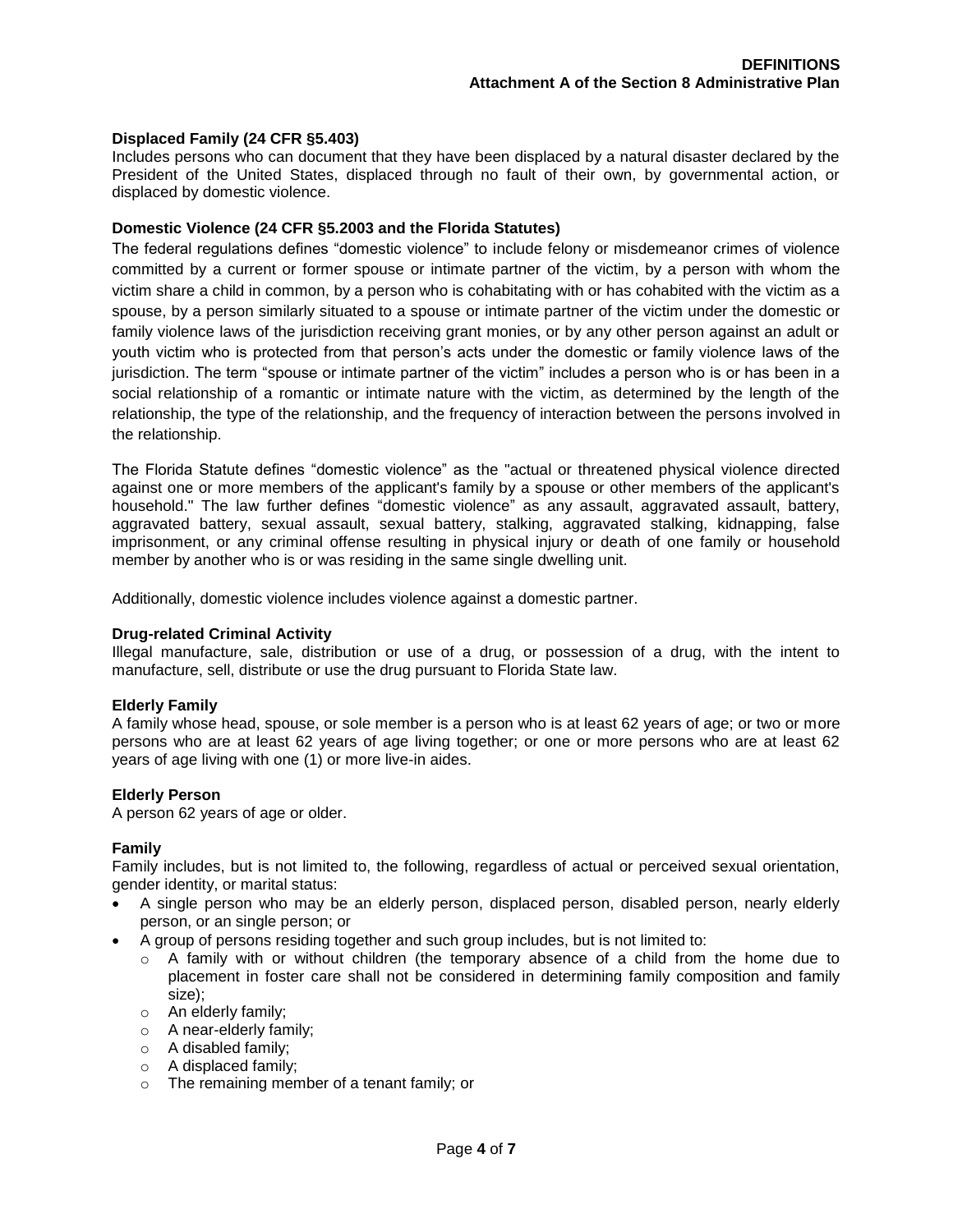# **Displaced Family (24 CFR §5.403)**

Includes persons who can document that they have been displaced by a natural disaster declared by the President of the United States, displaced through no fault of their own, by governmental action, or displaced by domestic violence.

# **Domestic Violence (24 CFR §5.2003 and the Florida Statutes)**

The federal regulations defines "domestic violence" to include felony or misdemeanor crimes of violence committed by a current or former spouse or intimate partner of the victim, by a person with whom the victim share a child in common, by a person who is cohabitating with or has cohabited with the victim as a spouse, by a person similarly situated to a spouse or intimate partner of the victim under the domestic or family violence laws of the jurisdiction receiving grant monies, or by any other person against an adult or youth victim who is protected from that person's acts under the domestic or family violence laws of the jurisdiction. The term "spouse or intimate partner of the victim" includes a person who is or has been in a social relationship of a romantic or intimate nature with the victim, as determined by the length of the relationship, the type of the relationship, and the frequency of interaction between the persons involved in the relationship.

The Florida Statute defines "domestic violence" as the "actual or threatened physical violence directed against one or more members of the applicant's family by a spouse or other members of the applicant's household." The law further defines "domestic violence" as any assault, aggravated assault, battery, aggravated battery, sexual assault, sexual battery, stalking, aggravated stalking, kidnapping, false imprisonment, or any criminal offense resulting in physical injury or death of one family or household member by another who is or was residing in the same single dwelling unit.

Additionally, domestic violence includes violence against a domestic partner.

# **Drug-related Criminal Activity**

Illegal manufacture, sale, distribution or use of a drug, or possession of a drug, with the intent to manufacture, sell, distribute or use the drug pursuant to Florida State law.

#### **Elderly Family**

A family whose head, spouse, or sole member is a person who is at least 62 years of age; or two or more persons who are at least 62 years of age living together; or one or more persons who are at least 62 years of age living with one (1) or more live-in aides.

### **Elderly Person**

A person 62 years of age or older.

#### **Family**

Family includes, but is not limited to, the following, regardless of actual or perceived sexual orientation, gender identity, or marital status:

- A single person who may be an elderly person, displaced person, disabled person, nearly elderly person, or an single person; or
- A group of persons residing together and such group includes, but is not limited to:
	- o A family with or without children (the temporary absence of a child from the home due to placement in foster care shall not be considered in determining family composition and family size);
	- o An elderly family;
	- o A near-elderly family;
	- o A disabled family;
	- o A displaced family;
	- o The remaining member of a tenant family; or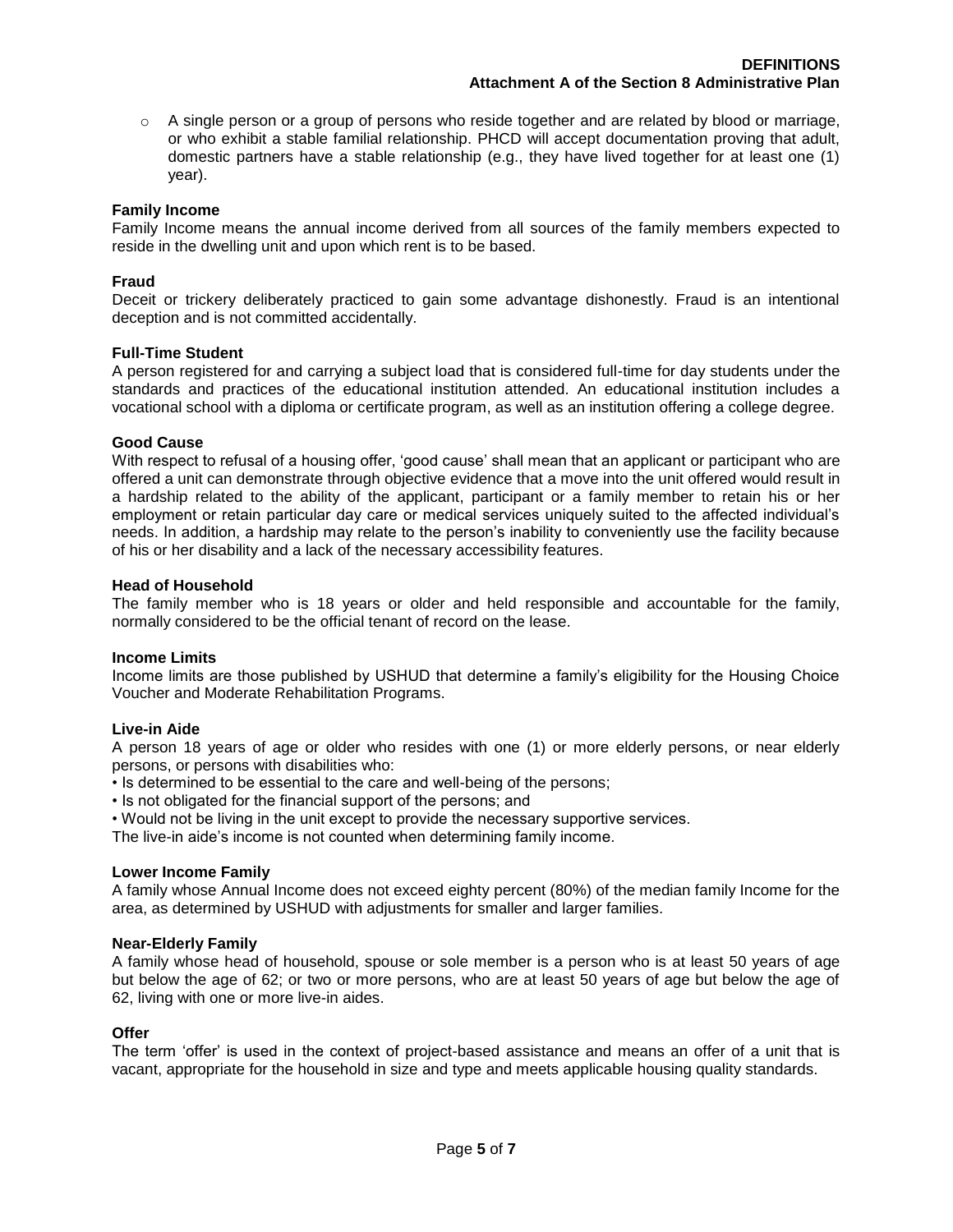$\circ$  A single person or a group of persons who reside together and are related by blood or marriage, or who exhibit a stable familial relationship. PHCD will accept documentation proving that adult, domestic partners have a stable relationship (e.g., they have lived together for at least one (1) year).

# **Family Income**

Family Income means the annual income derived from all sources of the family members expected to reside in the dwelling unit and upon which rent is to be based.

# **Fraud**

Deceit or trickery deliberately practiced to gain some advantage dishonestly. Fraud is an intentional deception and is not committed accidentally.

# **Full-Time Student**

A person registered for and carrying a subject load that is considered full-time for day students under the standards and practices of the educational institution attended. An educational institution includes a vocational school with a diploma or certificate program, as well as an institution offering a college degree.

# **Good Cause**

With respect to refusal of a housing offer, 'good cause' shall mean that an applicant or participant who are offered a unit can demonstrate through objective evidence that a move into the unit offered would result in a hardship related to the ability of the applicant, participant or a family member to retain his or her employment or retain particular day care or medical services uniquely suited to the affected individual's needs. In addition, a hardship may relate to the person's inability to conveniently use the facility because of his or her disability and a lack of the necessary accessibility features.

# **Head of Household**

The family member who is 18 years or older and held responsible and accountable for the family, normally considered to be the official tenant of record on the lease.

# **Income Limits**

Income limits are those published by USHUD that determine a family's eligibility for the Housing Choice Voucher and Moderate Rehabilitation Programs.

# **Live-in Aide**

A person 18 years of age or older who resides with one (1) or more elderly persons, or near elderly persons, or persons with disabilities who:

• Is determined to be essential to the care and well-being of the persons;

- Is not obligated for the financial support of the persons; and
- Would not be living in the unit except to provide the necessary supportive services.

The live-in aide's income is not counted when determining family income.

# **Lower Income Family**

A family whose Annual Income does not exceed eighty percent (80%) of the median family Income for the area, as determined by USHUD with adjustments for smaller and larger families.

# **Near-Elderly Family**

A family whose head of household, spouse or sole member is a person who is at least 50 years of age but below the age of 62; or two or more persons, who are at least 50 years of age but below the age of 62, living with one or more live-in aides.

# **Offer**

The term 'offer' is used in the context of project-based assistance and means an offer of a unit that is vacant, appropriate for the household in size and type and meets applicable housing quality standards.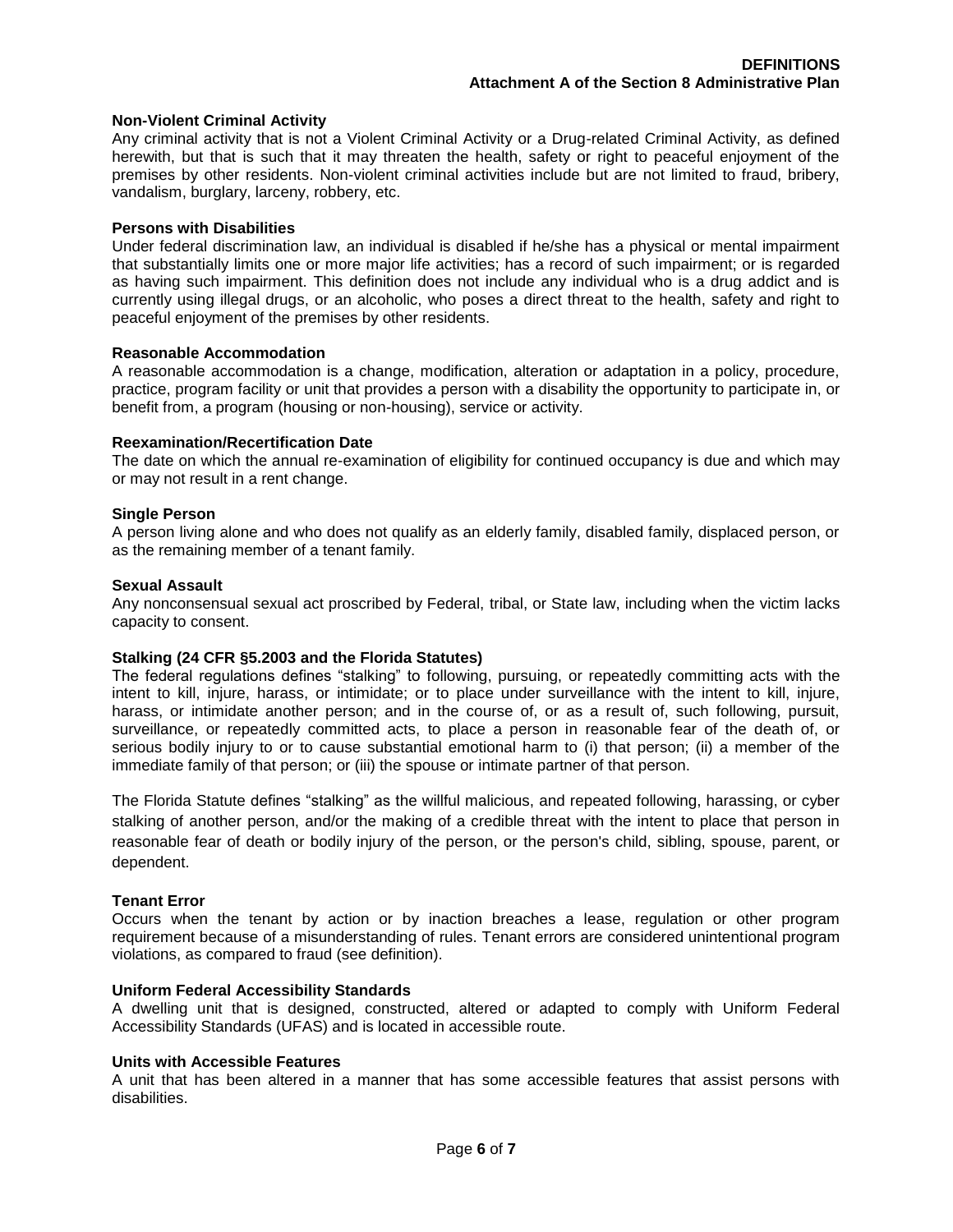# **Non-Violent Criminal Activity**

Any criminal activity that is not a Violent Criminal Activity or a Drug-related Criminal Activity, as defined herewith, but that is such that it may threaten the health, safety or right to peaceful enjoyment of the premises by other residents. Non-violent criminal activities include but are not limited to fraud, bribery, vandalism, burglary, larceny, robbery, etc.

#### **Persons with Disabilities**

Under federal discrimination law, an individual is disabled if he/she has a physical or mental impairment that substantially limits one or more major life activities; has a record of such impairment; or is regarded as having such impairment. This definition does not include any individual who is a drug addict and is currently using illegal drugs, or an alcoholic, who poses a direct threat to the health, safety and right to peaceful enjoyment of the premises by other residents.

#### **Reasonable Accommodation**

A reasonable accommodation is a change, modification, alteration or adaptation in a policy, procedure, practice, program facility or unit that provides a person with a disability the opportunity to participate in, or benefit from, a program (housing or non-housing), service or activity.

# **Reexamination/Recertification Date**

The date on which the annual re-examination of eligibility for continued occupancy is due and which may or may not result in a rent change.

# **Single Person**

A person living alone and who does not qualify as an elderly family, disabled family, displaced person, or as the remaining member of a tenant family.

# **Sexual Assault**

Any nonconsensual sexual act proscribed by Federal, tribal, or State law, including when the victim lacks capacity to consent.

#### **Stalking (24 CFR §5.2003 and the Florida Statutes)**

The federal regulations defines "stalking" to following, pursuing, or repeatedly committing acts with the intent to kill, injure, harass, or intimidate; or to place under surveillance with the intent to kill, injure, harass, or intimidate another person; and in the course of, or as a result of, such following, pursuit, surveillance, or repeatedly committed acts, to place a person in reasonable fear of the death of, or serious bodily injury to or to cause substantial emotional harm to (i) that person; (ii) a member of the immediate family of that person; or (iii) the spouse or intimate partner of that person.

The Florida Statute defines "stalking" as the willful malicious, and repeated following, harassing, or cyber stalking of another person, and/or the making of a credible threat with the intent to place that person in reasonable fear of death or bodily injury of the person, or the person's child, sibling, spouse, parent, or dependent.

# **Tenant Error**

Occurs when the tenant by action or by inaction breaches a lease, regulation or other program requirement because of a misunderstanding of rules. Tenant errors are considered unintentional program violations, as compared to fraud (see definition).

#### **Uniform Federal Accessibility Standards**

A dwelling unit that is designed, constructed, altered or adapted to comply with Uniform Federal Accessibility Standards (UFAS) and is located in accessible route.

#### **Units with Accessible Features**

A unit that has been altered in a manner that has some accessible features that assist persons with disabilities.